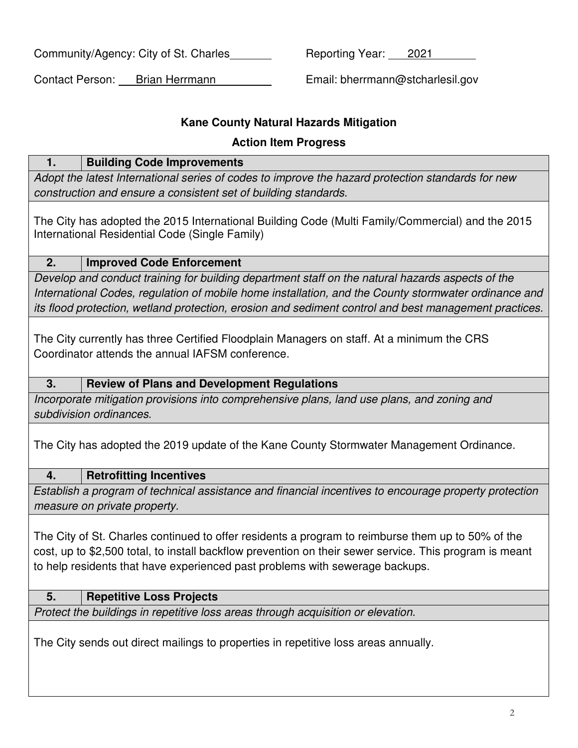Community/Agency: City of St. Charles Reporting Year: 2021

Contact Person: Brian Herrmann Email: bherrmann@stcharlesil.gov

## **Kane County Natural Hazards Mitigation**

## **Action Item Progress**

| <b>Building Code Improvements</b><br>1.                                                                                                                                                                                                                                                                           |  |  |  |
|-------------------------------------------------------------------------------------------------------------------------------------------------------------------------------------------------------------------------------------------------------------------------------------------------------------------|--|--|--|
| Adopt the latest International series of codes to improve the hazard protection standards for new                                                                                                                                                                                                                 |  |  |  |
| construction and ensure a consistent set of building standards.                                                                                                                                                                                                                                                   |  |  |  |
| The City has adopted the 2015 International Building Code (Multi Family/Commercial) and the 2015<br>International Residential Code (Single Family)                                                                                                                                                                |  |  |  |
| 2.<br><b>Improved Code Enforcement</b>                                                                                                                                                                                                                                                                            |  |  |  |
| Develop and conduct training for building department staff on the natural hazards aspects of the<br>International Codes, regulation of mobile home installation, and the County stormwater ordinance and<br>its flood protection, wetland protection, erosion and sediment control and best management practices. |  |  |  |
| The City currently has three Certified Floodplain Managers on staff. At a minimum the CRS<br>Coordinator attends the annual IAFSM conference.                                                                                                                                                                     |  |  |  |
| 3.<br><b>Review of Plans and Development Regulations</b>                                                                                                                                                                                                                                                          |  |  |  |
| Incorporate mitigation provisions into comprehensive plans, land use plans, and zoning and                                                                                                                                                                                                                        |  |  |  |
| subdivision ordinances.                                                                                                                                                                                                                                                                                           |  |  |  |
| The City has adopted the 2019 update of the Kane County Stormwater Management Ordinance.                                                                                                                                                                                                                          |  |  |  |
| 4.<br><b>Retrofitting Incentives</b>                                                                                                                                                                                                                                                                              |  |  |  |
| Establish a program of technical assistance and financial incentives to encourage property protection<br>measure on private property.                                                                                                                                                                             |  |  |  |
| The City of St. Charles continued to offer residents a program to reimburse them up to 50% of the<br>cost, up to \$2,500 total, to install backflow prevention on their sewer service. This program is meant<br>to help residents that have experienced past problems with sewerage backups.                      |  |  |  |
| <b>Repetitive Loss Projects</b><br>5.                                                                                                                                                                                                                                                                             |  |  |  |
| Protect the buildings in repetitive loss areas through acquisition or elevation.                                                                                                                                                                                                                                  |  |  |  |
| The City sends out direct mailings to properties in repetitive loss areas annually.                                                                                                                                                                                                                               |  |  |  |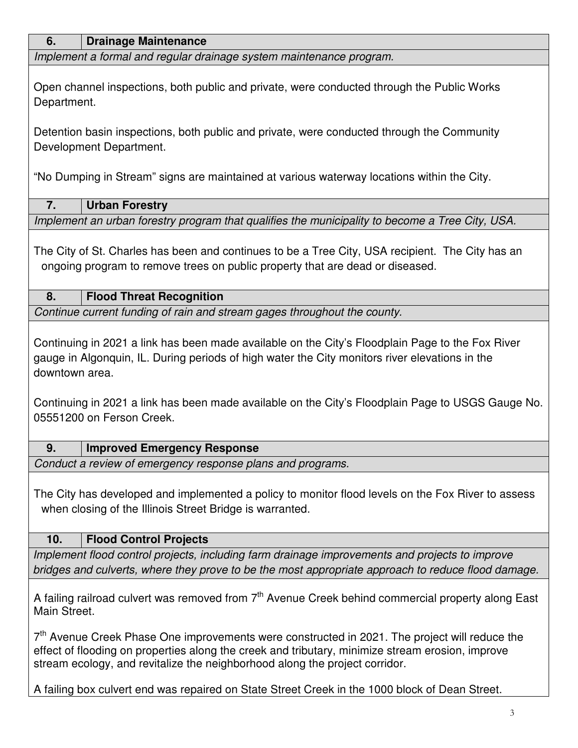| 6.<br><b>Drainage Maintenance</b>                                                                                                                                                                                    |  |  |  |
|----------------------------------------------------------------------------------------------------------------------------------------------------------------------------------------------------------------------|--|--|--|
| Implement a formal and regular drainage system maintenance program.                                                                                                                                                  |  |  |  |
|                                                                                                                                                                                                                      |  |  |  |
| Open channel inspections, both public and private, were conducted through the Public Works<br>Department.                                                                                                            |  |  |  |
| Detention basin inspections, both public and private, were conducted through the Community<br>Development Department.                                                                                                |  |  |  |
| "No Dumping in Stream" signs are maintained at various waterway locations within the City.                                                                                                                           |  |  |  |
| 7.<br><b>Urban Forestry</b>                                                                                                                                                                                          |  |  |  |
| Implement an urban forestry program that qualifies the municipality to become a Tree City, USA.                                                                                                                      |  |  |  |
| The City of St. Charles has been and continues to be a Tree City, USA recipient. The City has an<br>ongoing program to remove trees on public property that are dead or diseased.                                    |  |  |  |
| <b>Flood Threat Recognition</b><br>8.                                                                                                                                                                                |  |  |  |
| Continue current funding of rain and stream gages throughout the county.                                                                                                                                             |  |  |  |
| Continuing in 2021 a link has been made available on the City's Floodplain Page to the Fox River<br>gauge in Algonquin, IL. During periods of high water the City monitors river elevations in the<br>downtown area. |  |  |  |
| Continuing in 2021 a link has been made available on the City's Floodplain Page to USGS Gauge No.<br>05551200 on Ferson Creek.                                                                                       |  |  |  |
| 9.<br><b>Improved Emergency Response</b>                                                                                                                                                                             |  |  |  |
| Conduct a review of emergency response plans and programs.                                                                                                                                                           |  |  |  |
| The City has developed and implemented a policy to monitor flood levels on the Fox River to assess<br>when closing of the Illinois Street Bridge is warranted.                                                       |  |  |  |
| 10.<br><b>Flood Control Projects</b>                                                                                                                                                                                 |  |  |  |
| Implement flood control projects, including farm drainage improvements and projects to improve                                                                                                                       |  |  |  |
| bridges and culverts, where they prove to be the most appropriate approach to reduce flood damage.                                                                                                                   |  |  |  |
| A failing railroad culvert was removed from 7 <sup>th</sup> Avenue Creek behind commercial property along East<br>Main Street.                                                                                       |  |  |  |
| 7 <sup>th</sup> Avenue Creek Phase One improvements were constructed in 2021. The project will reduce the<br>effect of flooding on properties along the creek and tributary, minimize stream erosion, improve        |  |  |  |

A failing box culvert end was repaired on State Street Creek in the 1000 block of Dean Street.

stream ecology, and revitalize the neighborhood along the project corridor.